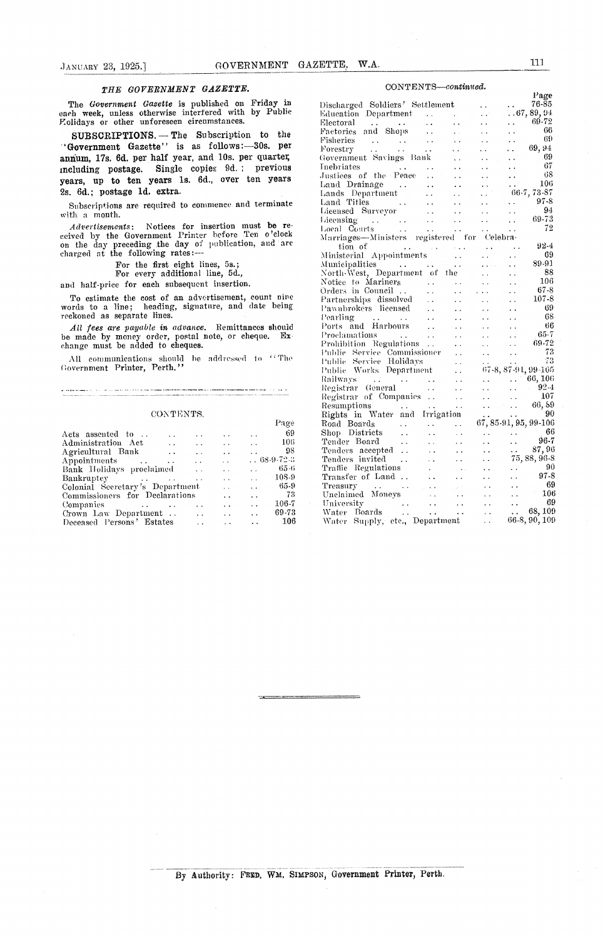### *THE GOVERNMENT GAZETTE. CONTENTS—continued.*

|              |                          |                                 | -69                            | Shop Districts                                   |                                         | $\sim 100$ km s $^{-1}$ |                                                                                                                                     | $\ddotsc$                                                                                                  | $\ddot{\phantom{a}}$                                                                                                                                                   | -66                                                                                                                |
|--------------|--------------------------|---------------------------------|--------------------------------|--------------------------------------------------|-----------------------------------------|-------------------------|-------------------------------------------------------------------------------------------------------------------------------------|------------------------------------------------------------------------------------------------------------|------------------------------------------------------------------------------------------------------------------------------------------------------------------------|--------------------------------------------------------------------------------------------------------------------|
| $\mathbf{r}$ |                          |                                 | 106                            | Tender Board                                     |                                         |                         |                                                                                                                                     |                                                                                                            | $\ddot{\phantom{a}}$                                                                                                                                                   | 96-7                                                                                                               |
|              |                          |                                 | 98                             |                                                  |                                         |                         |                                                                                                                                     |                                                                                                            | $\sim$ $\sim$                                                                                                                                                          | 87.96                                                                                                              |
|              |                          |                                 |                                |                                                  |                                         |                         |                                                                                                                                     |                                                                                                            |                                                                                                                                                                        | 75, 88, 96-8                                                                                                       |
|              |                          |                                 | 65-6                           |                                                  |                                         |                         |                                                                                                                                     | $\ddot{\phantom{a}}$                                                                                       | $\ddot{\phantom{a}}$                                                                                                                                                   | -90                                                                                                                |
|              |                          |                                 | $108 - 9$                      |                                                  |                                         |                         |                                                                                                                                     |                                                                                                            |                                                                                                                                                                        | 97-8                                                                                                               |
|              |                          |                                 | 65-9                           |                                                  |                                         |                         |                                                                                                                                     |                                                                                                            | $\ddot{\phantom{0}}$                                                                                                                                                   | - 69                                                                                                               |
|              |                          |                                 | 73                             |                                                  |                                         |                         |                                                                                                                                     |                                                                                                            |                                                                                                                                                                        | $\ldots$ 106                                                                                                       |
|              |                          |                                 |                                | University                                       |                                         | $\sim 100$ km s $^{-1}$ | $\sim$ $\sim$                                                                                                                       | $\sim 10^{-1}$                                                                                             | $\sim$                                                                                                                                                                 | - 69                                                                                                               |
|              |                          |                                 |                                |                                                  |                                         |                         |                                                                                                                                     |                                                                                                            |                                                                                                                                                                        | $\ldots$ 68, 109                                                                                                   |
|              |                          |                                 | 106                            |                                                  |                                         |                         |                                                                                                                                     | $\sim 10^7$                                                                                                |                                                                                                                                                                        | 66-8, 90, 109                                                                                                      |
|              | <b>Contract Contract</b> | Colonial Secretary's Department | Commissioners for Declarations | Pagè<br>$\ldots 68-9-72-3$<br>$106 - 7$<br>69-73 | Road Boards<br>Treasury<br>Water Boards | Tenders accepted        | $\sim$ $\sim$<br>$\cdots$<br>Tenders invited<br>Transfer of Land<br>and the contract of the state<br>Unclaimed Moneys<br>$\sim 100$ | and the contract of the state of<br><b>Contractor</b><br>Traffic Regulations .<br><b>Contract Contract</b> | <b>Contract Contract</b><br>and the contract of the contract of<br>and the company's company<br>and the contract of the contract of<br>Water Supply, etc., Department. | 67, 85-91, 95, 99-106<br>and the state of the state of the state of<br>and a series of the series of the series of |

| GOVERNMENT GAZETTE,<br>JANUARY 23, 1925.]                                                                                                                                                                               | W.A.                                                                                                                                                                                                                                                                                                                                                                                                                                                                                | 111                                    |
|-------------------------------------------------------------------------------------------------------------------------------------------------------------------------------------------------------------------------|-------------------------------------------------------------------------------------------------------------------------------------------------------------------------------------------------------------------------------------------------------------------------------------------------------------------------------------------------------------------------------------------------------------------------------------------------------------------------------------|----------------------------------------|
| THE GOVERNMENT GAZETTE.                                                                                                                                                                                                 | CONTENTS-continued.                                                                                                                                                                                                                                                                                                                                                                                                                                                                 |                                        |
| The Government Gazette is published on Friday in<br>each week, unless otherwise interfered with by Public<br>Zolidays or other unforeseen circumstances.                                                                | Discharged Soldiers' Settlement<br>$\sim 100$<br>Education Department<br>$\sim 100$<br>$\sim 10^{11}$ km s $^{-1}$<br>$\sim 10^6$<br>Electoral<br>$\mathbf{r}$ , $\mathbf{r}$ , $\mathbf{r}$<br>the committee of the com-<br><b>Contractor</b><br>$\sim$ $\sim$                                                                                                                                                                                                                     | Page<br>$76 - 85$<br>67,89,94<br>69-72 |
| SUBSCRIPTIONS. - The Subscription to the                                                                                                                                                                                | $\epsilon$ .<br>Factories and Shops<br>$\Delta\sim 10^{-11}$<br><b>Contractor</b><br>$\ddotsc$<br>$\ddot{\phantom{1}}$ .<br>Fisheries<br><b>Contract</b><br>$\sim 100$<br>and a strategic control of<br>$\sim$ $\sim$<br>$\bullet$ $\bullet$                                                                                                                                                                                                                                        | 66<br>-69                              |
| 'Government Gazette'' is as follows:-30s. per<br>annum, 17s. 6d. per half year, and 10s. per quarter,<br>including postage. Single copies 9d.; previous                                                                 | Forestry<br>$\sim 100$ km s $^{-1}$<br>$\mathbf{u}$ , $\mathbf{u}$ , $\mathbf{u}$<br>$\sim 10^{-10}$ m $^{-1}$<br>$\Delta\sim 10^{-1}$<br>$\sim 10^{-1}$<br>$\ddot{\phantom{0}}$<br>Government Savings Bank<br>$\mathbf{r}$ and $\mathbf{r}$<br>$\star$ $\star$<br><b>Inebriates</b><br>and the state of the state of<br><b>Contractor</b><br>$\epsilon$ .                                                                                                                          | 69.94<br>.69<br>67                     |
| years, up to ten years 1s. 6d., over ten years<br>2s. 6d.; postage 1d. extra.                                                                                                                                           | Justices of the Peace<br>$\sim$ $\sim$<br>$\ddot{\phantom{0}}$<br>Land Drainage<br>state of the contract of<br>$\sim$ $\sim$<br>$\sim$ $\sim$<br>Lands Department<br><b>Contractor</b><br>$\sim 10^{-1}$                                                                                                                                                                                                                                                                            | -68<br>106<br>$66-7, 73-87$            |
| Subscriptions are required to commence and terminate<br>with a month.                                                                                                                                                   | Land Titles<br><b>Salar</b><br>$\sim 10^{-10}$<br>$\sim 10^{-1}$<br>$\ddot{\phantom{0}}$<br><b>Contractor</b><br>Licensed Surveyor<br><b>Contract Contract Contract</b><br>$\sim$ .<br>$\ddot{\phantom{a}}$ .<br>$\sim 10^{-10}$ m $^{-1}$<br><b>Contract</b><br>$\sim 10$<br>$\ddot{\phantom{a}}$                                                                                                                                                                                  | $97 - 8$<br>94<br>69-73                |
| Advertisements: Notices for insertion must be re-<br>ceived by the Government Printer before Ten o'clock<br>on the day preceding the day of publication, and are<br>charged at the following rates:-                    | Local Courts<br>$\sim 10^{-11}$<br><b>Contractor</b><br><b>Contractor</b><br><b>Contract</b><br>$\ddot{\phantom{1}}$ .<br>Marriages—Ministers registered for Celebra-<br>tion of<br>and the contract of the state<br>$\sim 100$ km s $^{-1}$<br>$\sim$ $\sim$                                                                                                                                                                                                                       | 72<br>92-4<br>-69                      |
| For the first eight lines, 5s.;<br>For every additional line, 5d.,                                                                                                                                                      | Ministerial Appointments<br>$\mathbf{y}$ , $\mathbf{y}$<br>$\sim$ $\sim$<br>$\ddot{\phantom{0}}$<br>Municipalities<br>$\mathbf{u}^{\prime}$ and $\mathbf{u}^{\prime}$<br>$\ddot{\phantom{a}}$<br><b>Contract Contract</b><br>$\sim$ $\sim$<br>North-West, Department of the<br>$\sim 10^{-10}$<br>$\sim$ $\sim$                                                                                                                                                                     | 89-91<br>-88                           |
| and half-price for each subsequent insertion.                                                                                                                                                                           | Notice to Mariners<br>$\sim 10^{-11}$<br>$\ddot{\phantom{0}}$                                                                                                                                                                                                                                                                                                                                                                                                                       | 106<br>$67 - 8$                        |
| To estimate the cost of an advertisement, count nine<br>words to a line; heading, signature, and date being<br>reckoned as separate lines.                                                                              | $\ddot{\phantom{0}}$<br>Partnerships dissolved<br>$\sim 10^7$<br><b>Contract Contract</b><br>$\ddot{\phantom{a}}$<br>Pawnbrokers licensed<br>$\sim 10^{-1}$<br>$\ddot{\phantom{a}}$<br>Pearling<br>and a straightful contract of the<br><b>Section</b><br>$\mathbf{r} \cdot \mathbf{r} = \mathbf{r} \cdot \mathbf{r}$<br>$\ddot{\phantom{0}}$                                                                                                                                       | 107-8<br>-69<br>68                     |
| All fees are payable in advance. Remittances should<br>be made by money order, postal note, or cheque. Ex-<br>change must be added to cheques.                                                                          | Ports and Harbours<br><b>Contractor</b><br>$\mathcal{A}^{\mathcal{A}}$ and $\mathcal{A}^{\mathcal{A}}$ and $\mathcal{A}^{\mathcal{A}}$<br>$\mathbf{z}$ , $\mathbf{z}$ , $\mathbf{z}$ , $\mathbf{z}$<br>$\sim$ $\sim$<br>Proclamations<br><b>Contract Contract</b><br><b>Contractor</b><br>$\mathcal{L}(\mathbf{x})$ .<br>$\ddot{\phantom{0}}$<br>Prohibition Regulations<br>$\mathbf{r}$ , $\mathbf{r}$<br>$\bar{z}$ .<br>$\mathbf{r}$ , $\mathbf{r}$ , $\mathbf{r}$ , $\mathbf{r}$ | 66<br>65-7<br>69-72                    |
| All communications should be addressed to "The<br>Government Printer, Perth."                                                                                                                                           | Public Service Commissioner –<br>$\sim$ $\sim$<br>$\sim 10^{-1}$<br>$\ddot{\phantom{a}}$ .<br>Public Service Holidays    73<br>Public Works Department  67-8, 87-91, 99-105                                                                                                                                                                                                                                                                                                         | 73                                     |
|                                                                                                                                                                                                                         | and the state of the state of the state of<br>Railways.<br>$\mathbf{r}$ , $\mathbf{r}$ , $\mathbf{r}$<br>$\cdots$<br>Registrar General<br>$\sim$ $\sim$<br>$\ddot{\phantom{a}}$<br>Registrar of Companies<br>$\sim$ $\sim$<br>$\sim$                                                                                                                                                                                                                                                | 66, 106<br>$92 - 4$<br>107             |
| CONTENTS.<br>Page                                                                                                                                                                                                       | Resumptions<br>$\sim 100$ km s $^{-1}$<br>$\ddot{\phantom{a}}$<br>$\sim$ $\sim$<br>and a strain of the state<br>Rights in Water and Irrigation<br>67, 85-91, 95, 99-106<br>Road Boards<br>$\epsilon$ .<br>$\epsilon$ .<br>$\ddot{\phantom{0}}$                                                                                                                                                                                                                                      | 66, 89<br>90                           |
| 69<br>Acts assented to<br>$\sim$ $\sim$<br>$\ddotsc$<br>$\ddot{\phantom{0}}$<br>106<br>Administration Act<br>$\sim 10$<br>$\sim$ $\sim$<br>$\ddot{\phantom{1}}$ .<br>$\sim$ $\sim$                                      | Shop Districts<br>$\ddot{\phantom{a}}$<br>$\ddot{\phantom{a}}$ .<br>$\sim$ $\sim$<br>$\ddotsc$<br>$\sim$ $\sim$<br>Tender Board<br>$\ddot{\phantom{a}}$ .<br>$\ddot{\phantom{a}}$ .<br>$\ddot{\phantom{0}}$<br>$\ddot{\phantom{a}}$ .<br>$\ddot{\phantom{1}}$ .                                                                                                                                                                                                                     | 66<br>$96 - 7$                         |
| 98<br>Agricultural Bank<br>$\ddot{\phantom{a}}$ .<br>$\ddot{\phantom{0}}$<br>$\ddotsc$<br>$\epsilon$ .                                                                                                                  | Tenders accepted<br>$\ddotsc$<br>$\ddot{\phantom{a}}$<br>$\sim$ $\sim$<br>$\ddot{\phantom{0}}$<br>Tenders invited<br>$\ddot{\phantom{a}}$ .<br>$\sim$ $\sim$<br>$\ddotsc$<br>$\sim$ $\sim$                                                                                                                                                                                                                                                                                          | 87,96<br>75, 88, 96-8                  |
| $. . 68-9-72-3$<br>Appointments<br>$\bar{\nu}$ .<br>$\sim$ $\sim$<br>$\epsilon$ .<br>$\rightarrow$ $\rightarrow$<br>Bank Holidays proclaimed<br>65-6<br>$\sim$ $\sim$<br>$\ddot{\phantom{a}}$ .<br>$\ddot{\phantom{0}}$ | Traffic Regulations<br>$\ddot{\phantom{0}}$<br>$\sim$ $\sim$<br>$\sim$ $\sim$<br>$\ddotsc$                                                                                                                                                                                                                                                                                                                                                                                          | -90                                    |
| 108-9<br>Bankruptey<br>$\sim$ $\sim$<br>$\ddot{\phantom{a}}$<br>$\ddot{\phantom{a}}$<br>$\sim$ $\sim$                                                                                                                   | Transfer of Land<br>$\ddot{\phantom{1}}$ .<br>$\ddot{\phantom{1}}$ .<br>$\sim$ $\sim$<br>$\sim$ $\sim$                                                                                                                                                                                                                                                                                                                                                                              | 97-8                                   |
| $65-9$<br>Colonial Secretary's Department<br>$\sim$ $\sim$<br>$\epsilon$ .                                                                                                                                              | Treasury<br>$\sim$ $\sim$<br>$\sim$ $\sim$<br>$\sim 10$<br>$\sim$<br>$\ddot{\phantom{0}}$<br>Service.                                                                                                                                                                                                                                                                                                                                                                               | 69<br>106                              |
| 73<br>Commissioners for Declarations<br>$\ddot{\phantom{a}}$ .<br>$\ddot{\phantom{1}}$ .<br>$106 - 7$<br>Companies<br>$\ddot{\phantom{0}}$                                                                              | Unclaimed Moneys<br>$\sim$ .<br>$\ddot{\phantom{a}}$ .<br>$\ddot{\phantom{0}}$<br>$\ddot{\phantom{0}}$<br>University<br>$\ddot{\phantom{1}}$<br>$\ddot{\phantom{a}}$<br>$\epsilon$ .<br>. .<br>$\sim$ $\sim$                                                                                                                                                                                                                                                                        | 69                                     |
| $\ddot{\phantom{a}}$ .<br>$\sim$ $\sim$<br>$\ddot{\phantom{1}}$ .<br>$\ddotsc$<br>69-73<br>Crown Law Department<br>$\ddot{\phantom{0}}$<br>$\sim$ $\sim$<br>$\sim$                                                      | Water Boards<br>$\ddot{\phantom{1}}$<br>$\sim$ $\sim$<br>$\ddot{\phantom{a}}$<br>$\ddot{\phantom{1}}$ .                                                                                                                                                                                                                                                                                                                                                                             | 68, 109                                |
| 106<br>Deceased Persons' Estates<br>$\sim$ $\sim$<br>$\epsilon$ .<br>$\ddot{\phantom{1}}$ .                                                                                                                             | Water Supply, etc., Department.<br>$\sim 10^7$                                                                                                                                                                                                                                                                                                                                                                                                                                      | 66-8, 90, 109                          |

By Authority: FRED. WM. SIMPSON, Government Printer, Perth.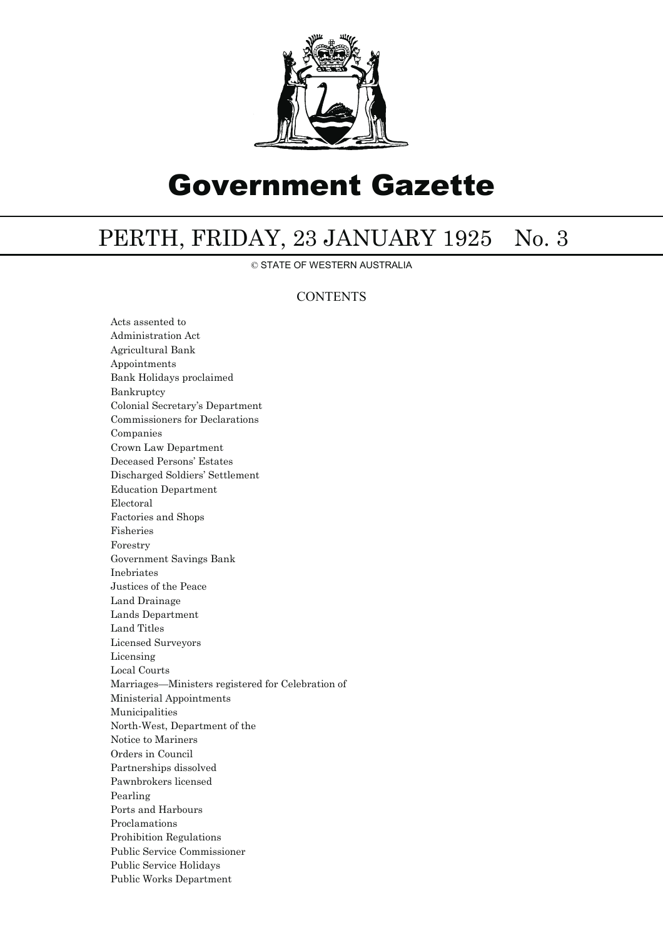

# Government Gazette

## PERTH, FRIDAY, 23 JANUARY 1925 No. 3

© STATE OF WESTERN AUSTRALIA

## **CONTENTS**

Acts assented to Administration Act Agricultural Bank Appointments Bank Holidays proclaimed Bankruptcy Colonial Secretary's Department Commissioners for Declarations Companies Crown Law Department Deceased Persons' Estates Discharged Soldiers' Settlement Education Department Electoral Factories and Shops Fisheries Forestry Government Savings Bank Inebriates Justices of the Peace Land Drainage Lands Department Land Titles Licensed Surveyors Licensing Local Courts Marriages—Ministers registered for Celebration of Ministerial Appointments Municipalities North-West, Department of the Notice to Mariners Orders in Council Partnerships dissolved Pawnbrokers licensed Pearling Ports and Harbours Proclamations Prohibition Regulations Public Service Commissioner Public Service Holidays Public Works Department